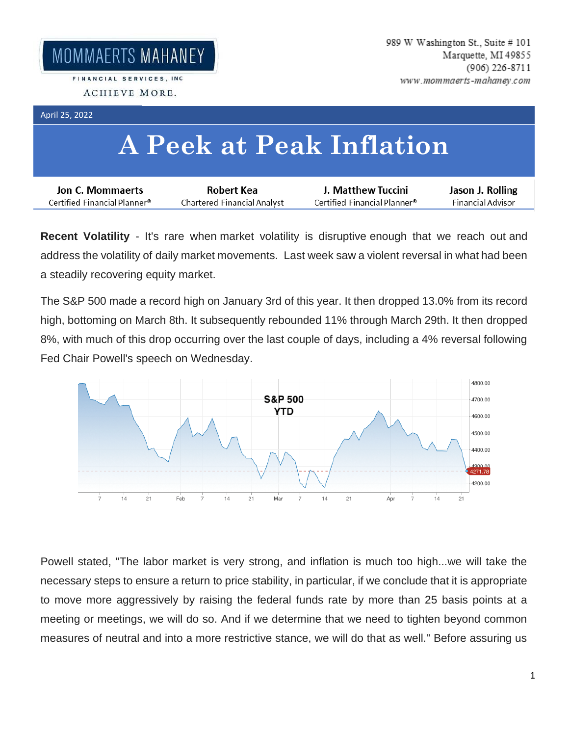FINANCIAL SERVICES, INC. ACHIEVE MORE.

## April 25, 2022

## **A Peek at Peak Inflation**

| Jon C. Mommaerts             | Robert Kea                  | J. Matthew Tuccini           | Jason J. Rolling  |
|------------------------------|-----------------------------|------------------------------|-------------------|
| Certified Financial Planner® | Chartered Financial Analyst | Certified Financial Planner® | Financial Advisor |

**Recent Volatility** - It's rare when market volatility is disruptive enough that we reach out and address the volatility of daily market movements. Last week saw a violent reversal in what had been a steadily recovering equity market.

The S&P 500 made a record high on January 3rd of this year. It then dropped 13.0% from its record high, bottoming on March 8th. It subsequently rebounded 11% through March 29th. It then dropped 8%, with much of this drop occurring over the last couple of days, including a 4% reversal following Fed Chair Powell's speech on Wednesday.



Powell stated, "The labor market is very strong, and inflation is much too high...we will take the necessary steps to ensure a return to price stability, in particular, if we conclude that it is appropriate to move more aggressively by raising the federal funds rate by more than 25 basis points at a meeting or meetings, we will do so. And if we determine that we need to tighten beyond common measures of neutral and into a more restrictive stance, we will do that as well." Before assuring us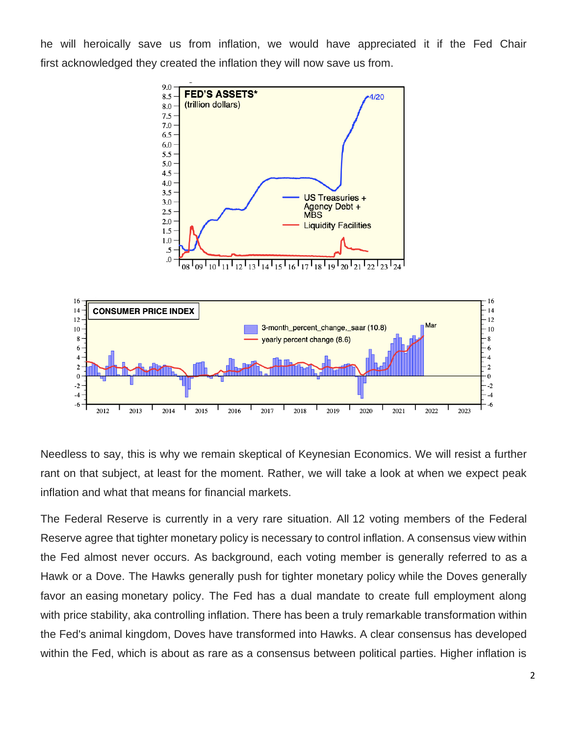he will heroically save us from inflation, we would have appreciated it if the Fed Chair first acknowledged they created the inflation they will now save us from.



Needless to say, this is why we remain skeptical of Keynesian Economics. We will resist a further rant on that subject, at least for the moment. Rather, we will take a look at when we expect peak inflation and what that means for financial markets.

The Federal Reserve is currently in a very rare situation. All 12 voting members of the Federal Reserve agree that tighter monetary policy is necessary to control inflation. A consensus view within the Fed almost never occurs. As background, each voting member is generally referred to as a Hawk or a Dove. The Hawks generally push for tighter monetary policy while the Doves generally favor an easing monetary policy. The Fed has a dual mandate to create full employment along with price stability, aka controlling inflation. There has been a truly remarkable transformation within the Fed's animal kingdom, Doves have transformed into Hawks. A clear consensus has developed within the Fed, which is about as rare as a consensus between political parties. Higher inflation is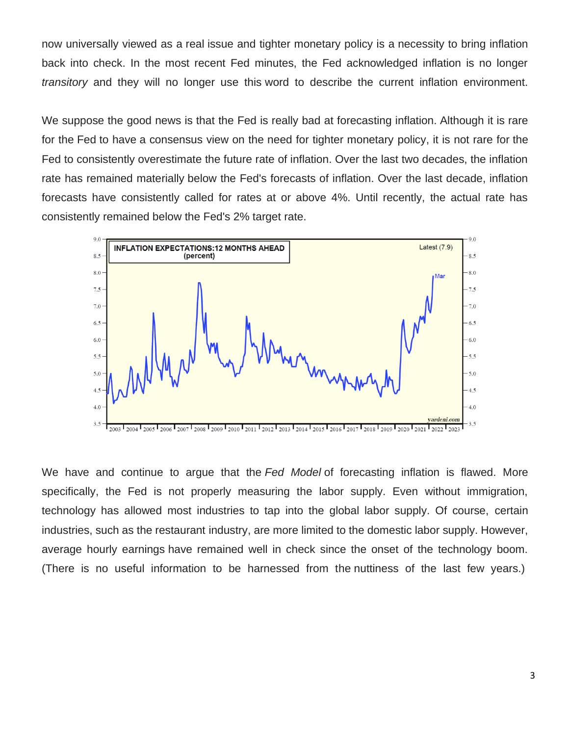now universally viewed as a real issue and tighter monetary policy is a necessity to bring inflation back into check. In the most recent Fed minutes, the Fed acknowledged inflation is no longer *transitory* and they will no longer use this word to describe the current inflation environment.

We suppose the good news is that the Fed is really bad at forecasting inflation. Although it is rare for the Fed to have a consensus view on the need for tighter monetary policy, it is not rare for the Fed to consistently overestimate the future rate of inflation. Over the last two decades, the inflation rate has remained materially below the Fed's forecasts of inflation. Over the last decade, inflation forecasts have consistently called for rates at or above 4%. Until recently, the actual rate has consistently remained below the Fed's 2% target rate.



We have and continue to argue that the *Fed Model* of forecasting inflation is flawed. More specifically, the Fed is not properly measuring the labor supply. Even without immigration, technology has allowed most industries to tap into the global labor supply. Of course, certain industries, such as the restaurant industry, are more limited to the domestic labor supply. However, average hourly earnings have remained well in check since the onset of the technology boom. (There is no useful information to be harnessed from the nuttiness of the last few years.)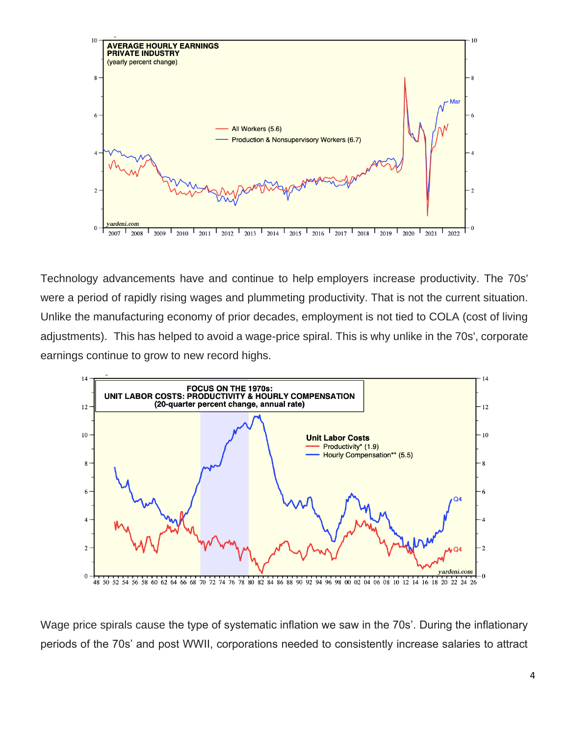

Technology advancements have and continue to help employers increase productivity. The 70s' were a period of rapidly rising wages and plummeting productivity. That is not the current situation. Unlike the manufacturing economy of prior decades, employment is not tied to COLA (cost of living adjustments). This has helped to avoid a wage-price spiral. This is why unlike in the 70s', corporate earnings continue to grow to new record highs.



Wage price spirals cause the type of systematic inflation we saw in the 70s'. During the inflationary periods of the 70s' and post WWII, corporations needed to consistently increase salaries to attract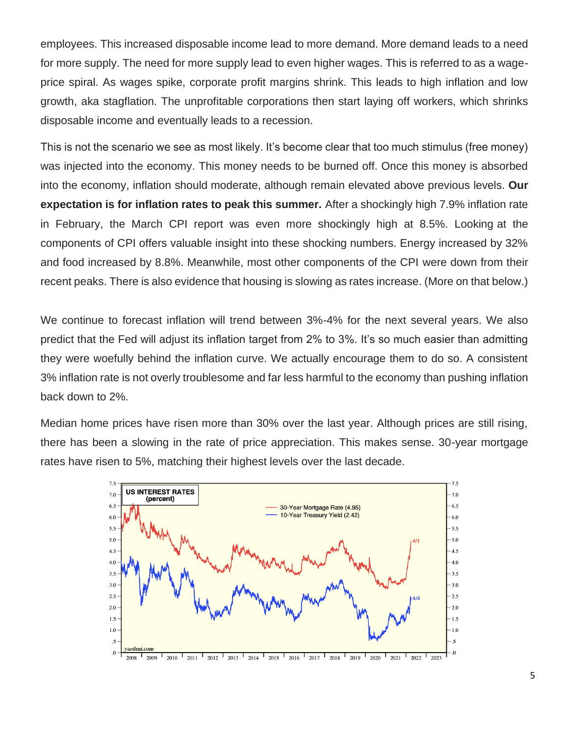employees. This increased disposable income lead to more demand. More demand leads to a need for more supply. The need for more supply lead to even higher wages. This is referred to as a wageprice spiral. As wages spike, corporate profit margins shrink. This leads to high inflation and low growth, aka stagflation. The unprofitable corporations then start laying off workers, which shrinks disposable income and eventually leads to a recession.

This is not the scenario we see as most likely. It's become clear that too much stimulus (free money) was injected into the economy. This money needs to be burned off. Once this money is absorbed into the economy, inflation should moderate, although remain elevated above previous levels. **Our expectation is for inflation rates to peak this summer.** After a shockingly high 7.9% inflation rate in February, the March CPI report was even more shockingly high at 8.5%. Looking at the components of CPI offers valuable insight into these shocking numbers. Energy increased by 32% and food increased by 8.8%. Meanwhile, most other components of the CPI were down from their recent peaks. There is also evidence that housing is slowing as rates increase. (More on that below.)

We continue to forecast inflation will trend between 3%-4% for the next several years. We also predict that the Fed will adjust its inflation target from 2% to 3%. It's so much easier than admitting they were woefully behind the inflation curve. We actually encourage them to do so. A consistent 3% inflation rate is not overly troublesome and far less harmful to the economy than pushing inflation back down to 2%.

Median home prices have risen more than 30% over the last year. Although prices are still rising, there has been a slowing in the rate of price appreciation. This makes sense. 30-year mortgage rates have risen to 5%, matching their highest levels over the last decade.